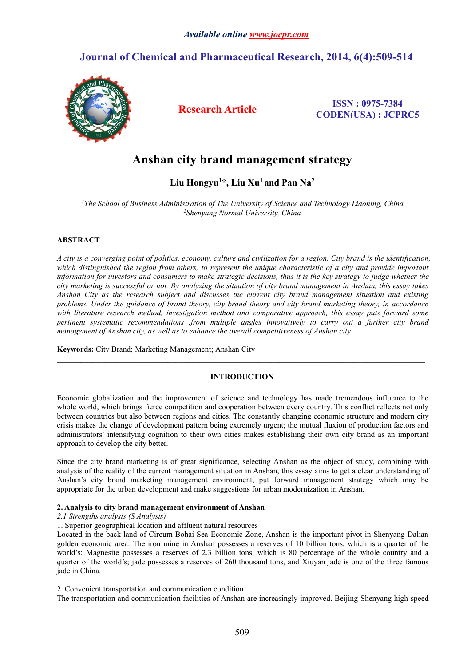## **Journal of Chemical and Pharmaceutical Research, 2014, 6(4):509-514**



**Research Article ISSN : 0975-7384 CODEN(USA) : JCPRC5**

# **Anshan city brand management strategy**

## **Liu Hongyu<sup>1</sup>\*, Liu Xu<sup>1</sup> and Pan Na<sup>2</sup>**

*<sup>1</sup>The School of Business Administration of The University of Science and Technology Liaoning, China <sup>2</sup>Shenyang Normal University, China*

## **ABSTRACT**

A city is a converging point of politics, economy, culture and civilization for a region. City brand is the identification, which distinguished the region from others, to represent the unique characteristic of a city and provide important information for investors and consumers to make strategic decisions, thus it is the key strategy to judge whether the city marketing is successful or not. By analyzing the situation of city brand management in Anshan, this essay takes *Anshan City as the research subject and discusses the current city brand management situation and existing* problems. Under the guidance of brand theory, city brand theory and city brand marketing theory, in accordance *with literature research method, investigation method and comparative approach, this essay puts forward some pertinent systematic recommendations ,from multiple angles innovatively to carry out a further city brand management of Anshan city, as well as to enhance the overall competitiveness of Anshan city.*

**Keywords:** City Brand; Marketing Management; Anshan City

## **INTRODUCTION**

Economic globalization and the improvement of science and technology has made tremendous influence to the whole world, which brings fierce competition and cooperation between every country. This conflict reflects not only between countries but also between regions and cities. The constantly changing economic structure and modern city crisis makes the change of development pattern being extremely urgent; the mutual fluxion of production factors and administrators' intensifying cognition to their own cities makes establishing their own city brand as an important approach to develop the city better.

Since the city brand marketing is of great significance, selecting Anshan as the object of study, combining with analysis ofthe reality of the current management situation in Anshan, this essay aims to get a clear understanding of Anshan's city brand marketing management environment, put forward management strategy which may be appropriate for the urban development and make suggestions for urban modernization in Anshan.

## **2. Analysis to city brand management environment of Anshan**

## *2.1 Strengths analysis (S Analysis)*

1. Superior geographical location and affluent natural resources

Located in the back-land of Circum-Bohai Sea Economic Zone, Anshan is the important pivot in Shenyang-Dalian golden economic area. The iron mine in Anshan possesses a reserves of 10 billion tons, which is a quarter of the world's; Magnesite possesses a reserves of 2.3 billion tons, which is 80 percentage of the whole country and a quarter of the world's; jade possesses a reserves of 260 thousand tons, and Xiuyan jade is one of the three famous jade in China.

2. Convenient transportation and communication condition

The transportation and communication facilities of Anshan are increasingly improved. Beijing-Shenyang high-speed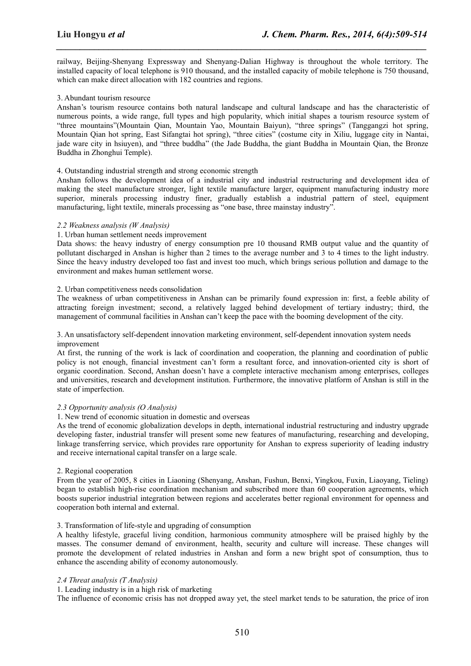railway, Beijing-Shenyang Expressway and Shenyang-Dalian Highway is throughout the whole territory. The installed capacity of local telephone is910 thousand, and the installed capacity of mobile telephone is 750 thousand, which can make direct allocation with 182 countries and regions.

*\_\_\_\_\_\_\_\_\_\_\_\_\_\_\_\_\_\_\_\_\_\_\_\_\_\_\_\_\_\_\_\_\_\_\_\_\_\_\_\_\_\_\_\_\_\_\_\_\_\_\_\_\_\_\_\_\_\_\_\_\_\_\_\_\_\_\_\_\_\_\_\_\_\_\_\_\_\_*

## 3. Abundant tourism resource

Anshan's tourism resource contains both natural landscape and cultural landscape and has the characteristic of numerous points, a wide range, full types and high popularity, which initial shapes a tourism resource system of "three mountains"(Mountain Qian, Mountain Yao, Mountain Baiyun), "three springs" (Tanggangzi hot spring, Mountain Qian hot spring, East Sifangtai hot spring), "three cities" (costume city in Xiliu, luggage city in Nantai, iade ware city in hsiuven), and "three buddha" (the Jade Buddha, the giant Buddha in Mountain Qian, the Bronze Buddha in Zhonghui Temple).

#### 4. Outstanding industrial strength and strong economic strength

Anshan follows the development idea of a industrial city and industrial restructuring and development idea of making the steel manufacture stronger, light textile manufacture larger, equipment manufacturing industry more superior, minerals processing industry finer, gradually establish a industrial pattern of steel, equipment manufacturing, light textile, minerals processing as "one base, three mainstay industry".

#### *2.2 Weakness analysis (W Analysis)*

#### 1. Urban human settlement needs improvement

Data shows: the heavy industry of energy consumption pre 10 thousand RMB output value and the quantity of pollutant discharged in Anshan is higher than 2 times to the average number and 3 to 4 times to the light industry. Since the heavy industry developed too fast and invest too much, which brings serious pollution and damage to the environment and makes human settlement worse.

#### 2. Urban competitiveness needs consolidation

The weakness of urban competitiveness in Anshan can be primarily found expression in: first, a feeble ability of attracting foreign investment; second, a relatively lagged behind development of tertiary industry; third, the management of communal facilities in Anshan can't keep the pace with the booming development of the city.

3. An unsatisfactory self-dependent innovation marketing environment, self-dependent innovation system needs improvement

At first, the running of the work is lack of coordination and cooperation, the planning and coordination of public policy is not enough, financial investment can't form a resultant force, and innovation-oriented city is short of organic coordination. Second, Anshan doesn't have a complete interactive mechanism among enterprises, colleges and universities, research and development institution. Furthermore, the innovative platform of Anshan is still in the state of imperfection.

#### *2.3 Opportunity analysis (O Analysis)*

#### 1. New trend of economic situation in domestic and overseas

As the trend of economic globalization develops in depth, international industrial restructuring and industry upgrade developing faster, industrial transfer will present some new features of manufacturing, researching and developing, linkage transferring service, which provides rare opportunity for Anshan to express superiority of leading industry and receive international capital transfer on a large scale.

#### 2. Regional cooperation

From the year of 2005, 8 cities in Liaoning (Shenyang, Anshan, Fushun, Benxi, Yingkou, Fuxin, Liaoyang, Tieling) began to establish high-rise coordination mechanism and subscribed more than 60 cooperation agreements, which boosts superior industrial integration between regions and accelerates better regional environment for openness and cooperation both internal and external.

## 3. Transformation of life-style and upgrading of consumption

A healthy lifestyle, graceful living condition, harmonious community atmosphere will be praised highly by the masses. The consumer demand of environment, health, security and culture will increase. These changes will promote the development of related industries in Anshan and form a new bright spot of consumption, thus to enhance the ascending ability of economy autonomously.

## *2.4 Threat analysis (T Analysis)*

1. Leading industry is in a high risk of marketing

The influence of economic crisis has not dropped away yet, the steel market tends to be saturation, the price of iron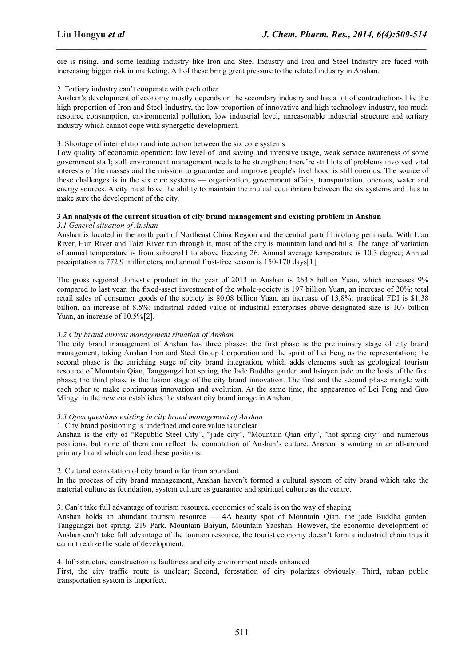ore is rising, and some leading industry like Iron and Steel Industry and Iron and Steel Industry are faced with increasing bigger risk in marketing. All of these bring great pressure to the related industry in Anshan.

*\_\_\_\_\_\_\_\_\_\_\_\_\_\_\_\_\_\_\_\_\_\_\_\_\_\_\_\_\_\_\_\_\_\_\_\_\_\_\_\_\_\_\_\_\_\_\_\_\_\_\_\_\_\_\_\_\_\_\_\_\_\_\_\_\_\_\_\_\_\_\_\_\_\_\_\_\_\_*

## 2. Tertiary industry can't cooperate with each other

Anshan's development of economy mostly depends on the secondary industry and has a lot of contradictions like the high proportion of Iron and Steel Industry, the low proportion of innovative and high technology industry, too much resource consumption, environmental pollution, low industrial level, unreasonable industrial structure and tertiary industry which cannot cope with synergetic development.

## 3. Shortage of interrelation and interaction between the six core systems

Low quality of economic operation; low level of land saving and intensive usage, weak service awareness of some government staff; soft environment management needs to be strengthen; there're still lots of problems involved vital interests of the masses and the mission to guarantee and improve people's livelihood is still onerous. The source of these challenges is in the six core systems — organization, government affairs, transportation, onerous, water and energy sources. A city must have the ability to maintain the mutual equilibrium between the six systems and thus to make sure the development of the city.

## **3 An analysis ofthe current situation of city brand management and existing problem in Anshan**

*3.1 General situation of Anshan*

Anshan is located in the north part of Northeast China Region and the central partof Liaotung peninsula. With Liao River, Hun River and Taizi River run through it, most of the city is mountain land and hills. The range of variation of annual temperature isfrom subzero11 to above freezing 26. Annual average temperature is10.3 degree; Annual precipitation is 772.9 millimeters, and annual frost-free season is 150-170 days[1].

The gross regional domestic product in the year of 2013 in Anshan is 263.8 billion Yuan, which increases 9% compared to last year; the fixed-asset investment of the whole-society is 197 billion Yuan, an increase of 20%; total retail sales of consumer goods of the society is 80.08 billion Yuan, an increase of 13.8%; practical FDI is \$1.38 billion, an increase of 8.5%; industrial added value of industrial enterprises above designated size is 107 billion Yuan, an increase of  $10.5\%$ [2].

## *3.2 City brand current management situation of Anshan*

The city brand management of Anshan has three phases: the first phase is the preliminary stage of city brand management, taking Anshan Iron and Steel Group Corporation and the spirit of Lei Feng as the representation; the second phase is the enriching stage of city brand integration, which adds elements such as geological tourism resource of Mountain Qian, Tanggangzi hot spring, the Jade Buddha garden and hsiuyen jade on the basis ofthe first phase; the third phase isthe fusion stage of the city brand innovation. The first and the second phase mingle with each other to make continuous innovation and evolution. At the same time, the appearance of Lei Feng and Guo Mingyi in the new era establishes the stalwart city brand image in Anshan.

## *3.3 Open questions existing in city brand management of Anshan*

#### 1. City brand positioning is undefined and core value is unclear

Anshan is the city of "Republic Steel City", "jade city", "Mountain Qian city", "hot spring city" and numerous positions, but none of them can reflect the connotation of Anshan's culture. Anshan is wanting in an all-around primary brand which can lead these positions.

## 2. Cultural connotation of city brand is far from abundant

In the process of city brand management, Anshan haven't formed a cultural system of city brand which take the material culture as foundation, system culture as guarantee and spiritual culture as the centre.

## 3. Can't take full advantage of tourism resource, economies ofscale is on the way of shaping

Anshan holds an abundant tourism resource  $-$  4A beauty spot of Mountain Qian, the jade Buddha garden, Tanggangzi hot spring, 219 Park, Mountain Baiyun, Mountain Yaoshan. However, the economic development of Anshan can't take full advantage of the tourism resource, the tourist economy doesn't form a industrial chain thus it cannot realize the scale of development.

#### 4. Infrastructure construction is faultiness and city environment needs enhanced

First, the city traffic route is unclear; Second, forestation of city polarizes obviously; Third, urban public transportation system is imperfect.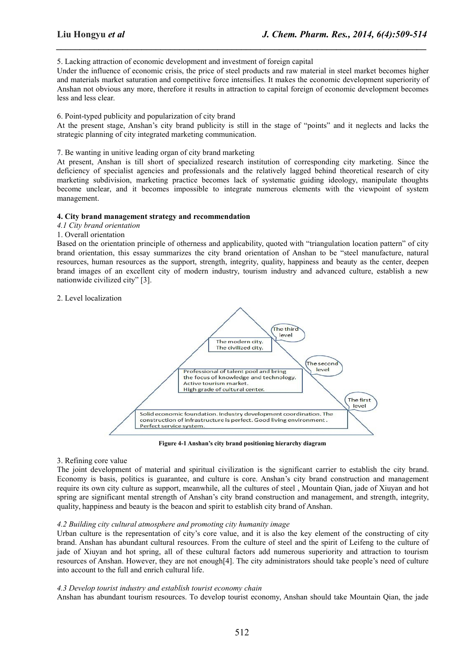5. Lacking attraction of economic development and investment of foreign capital

Under the influence of economic crisis, the price of steel products and raw material in steel market becomes higher and materials market saturation and competitive force intensifies. It makes the economic development superiority of Anshan not obvious any more, therefore it results in attraction to capital foreign of economic development becomes less and less clear.

*\_\_\_\_\_\_\_\_\_\_\_\_\_\_\_\_\_\_\_\_\_\_\_\_\_\_\_\_\_\_\_\_\_\_\_\_\_\_\_\_\_\_\_\_\_\_\_\_\_\_\_\_\_\_\_\_\_\_\_\_\_\_\_\_\_\_\_\_\_\_\_\_\_\_\_\_\_\_*

6. Point-typed publicity and popularization of city brand

At the present stage, Anshan's city brand publicity is still in the stage of "points" and it neglects and lacks the strategic planning of city integrated marketing communication.

7. Be wanting in unitive leading organ of city brand marketing

At present, Anshan is till short of specialized research institution of corresponding city marketing. Since the deficiency of specialist agencies and professionals and the relatively lagged behind theoretical research of city marketing subdivision, marketing practice becomes lack of systematic guiding ideology, manipulate thoughts become unclear, and it becomes impossible to integrate numerous elements with the viewpoint of system management.

#### **4. City brand management strategy and recommendation**

#### *4.1 City brand orientation*

#### 1. Overall orientation

Based on the orientation principle of otherness and applicability, quoted with "triangulation location pattern" of city brand orientation, this essay summarizes the city brand orientation of Anshan to be "steel manufacture, natural resources, human resources as the support, strength, integrity, quality, happiness and beauty as the center, deepen brand images of an excellent city of modern industry, tourism industry and advanced culture, establish a new nationwide civilized city" [3].

## 2. Level localization



**Figure 4-1 Anshan's city brand positioning hierarchy diagram**

#### 3. Refining core value

The joint development of material and spiritual civilization is the significant carrier to establish the city brand. Economy is basis, politics is guarantee, and culture is core. Anshan's city brand construction and management require its own city culture as support, meanwhile, all the cultures of steel , Mountain Qian, jade of Xiuyan and hot spring are significant mental strength of Anshan's city brand construction and management, and strength, integrity, quality, happiness and beauty is the beacon and spirit to establish city brand of Anshan.

#### *4.2 Building city cultural atmosphere and promoting city humanity image*

Urban culture is the representation of city's core value, and it is also the key element of the constructing of city brand. Anshan has abundant cultural resources. From the culture of steel and the spirit of Leifeng to the culture of jade of Xiuyan and hot spring, all of these cultural factors add numerous superiority and attraction to tourism resources of Anshan. However, they are not enough[4]. The city administrators should take people's need of culture into account to the full and enrich cultural life.

#### *4.3 Develop tourist industry and establish tourist economy chain*

Anshan has abundant tourism resources. To develop tourist economy, Anshan should take Mountain Qian, the jade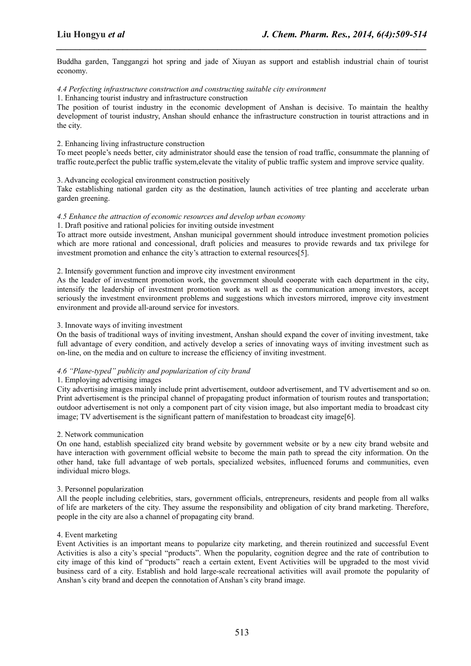Buddha garden, Tanggangzi hot spring and jade of Xiuyan as support and establish industrial chain of tourist economy.

*\_\_\_\_\_\_\_\_\_\_\_\_\_\_\_\_\_\_\_\_\_\_\_\_\_\_\_\_\_\_\_\_\_\_\_\_\_\_\_\_\_\_\_\_\_\_\_\_\_\_\_\_\_\_\_\_\_\_\_\_\_\_\_\_\_\_\_\_\_\_\_\_\_\_\_\_\_\_*

### *4.4 Perfecting infrastructure construction and constructing suitable city environment*

1. Enhancing tourist industry and infrastructure construction

The position of tourist industry in the economic development of Anshan is decisive. To maintain the healthy development of tourist industry, Anshan should enhance the infrastructure construction in tourist attractions and in the city.

#### 2. Enhancing living infrastructure construction

To meet people's needs better, city administrator should ease the tension of road traffic, consummate the planning of traffic route,perfect the public traffic system,elevate the vitality of public traffic system and improve service quality.

#### 3. Advancing ecological environment construction positively

Take establishing national garden city as the destination, launch activities of tree planting and accelerate urban garden greening.

#### *4.5 Enhance the attraction of economic resources and develop urban economy*

1. Draft positive and rational policies for inviting outside investment

To attract more outside investment, Anshan municipal government should introduce investment promotion policies which are more rational and concessional, draft policies and measures to provide rewards and tax privilege for investment promotion and enhance the city's attraction to external resources[5].

#### 2. Intensify government function and improve city investment environment

As the leader of investment promotion work, the government should cooperate with each department in the city, intensify the leadership of investment promotion work as well as the communication among investors, accept seriously the investment environment problems and suggestions which investors mirrored, improve city investment environment and provide all-around service for investors.

#### 3. Innovate ways of inviting investment

On the basis of traditional ways of inviting investment, Anshan should expand the cover of inviting investment, take full advantage of every condition, and actively develop a series of innovating ways of inviting investment such as on-line, on the media and on culture to increase the efficiency of inviting investment.

## *4.6 "Plane-typed" publicity and popularization of city brand*

#### 1. Employing advertising images

City advertising images mainly include print advertisement, outdoor advertisement, and TV advertisement and so on. Print advertisement is the principal channel of propagating product information of tourism routes and transportation; outdoor advertisement is not only a component part of city vision image, but also importantmedia to broadcast city image; TV advertisement is the significant pattern of manifestation to broadcast city image[6].

#### 2. Network communication

On one hand, establish specialized city brand website by government website or by a new city brand website and have interaction with government official website to become the main path to spread the city information. On the other hand, take full advantage of web portals, specialized websites, influenced forums and communities, even individual micro blogs.

#### 3. Personnel popularization

All the people including celebrities, stars, government officials, entrepreneurs, residents and people from all walks of life are marketers of the city. They assume the responsibility and obligation of city brand marketing. Therefore, people in the city are also a channel of propagating city brand.

## 4. Event marketing

Event Activities is an important means to popularize city marketing, and therein routinized and successful Event Activities is also a city's special "products". When the popularity, cognition degree and the rate of contribution to city image of this kind of "products" reach a certain extent, Event Activities will be upgraded to the most vivid business card of a city. Establish and hold large-scale recreational activities will avail promote the popularity of Anshan's city brand and deepen the connotation of Anshan's city brand image.